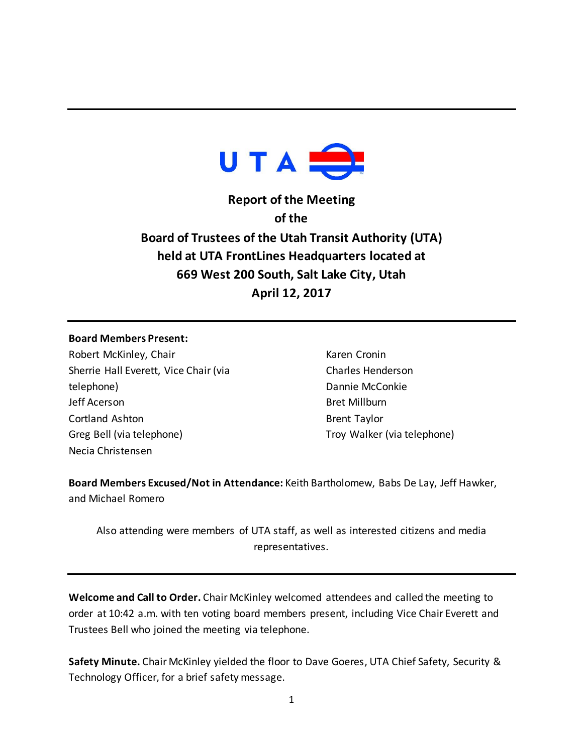

**Report of the Meeting of the Board of Trustees of the Utah Transit Authority (UTA) held at UTA FrontLines Headquarters located at 669 West 200 South, Salt Lake City, Utah April 12, 2017**

## **Board Members Present:**

Robert McKinley, Chair Sherrie Hall Everett, Vice Chair (via telephone) Jeff Acerson Cortland Ashton Greg Bell (via telephone) Necia Christensen

Karen Cronin Charles Henderson Dannie McConkie Bret Millburn Brent Taylor Troy Walker (via telephone)

**Board Members Excused/Not in Attendance:** Keith Bartholomew, Babs De Lay, Jeff Hawker, and Michael Romero

Also attending were members of UTA staff, as well as interested citizens and media representatives.

**Welcome and Call to Order.** Chair McKinley welcomed attendees and called the meeting to order at 10:42 a.m. with ten voting board members present, including Vice Chair Everett and Trustees Bell who joined the meeting via telephone.

**Safety Minute.** Chair McKinley yielded the floor to Dave Goeres, UTA Chief Safety, Security & Technology Officer, for a brief safety message.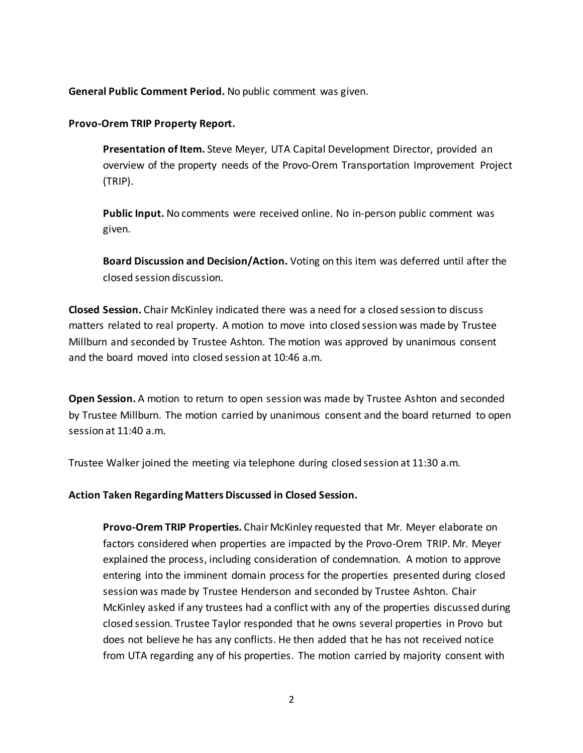**General Public Comment Period.** No public comment was given.

**Provo-Orem TRIP Property Report.**

**Presentation of Item.** Steve Meyer, UTA Capital Development Director, provided an overview of the property needs of the Provo-Orem Transportation Improvement Project (TRIP).

**Public Input.** No comments were received online. No in-person public comment was given.

**Board Discussion and Decision/Action.** Voting on this item was deferred until after the closed session discussion.

**Closed Session.** Chair McKinley indicated there was a need for a closed session to discuss matters related to real property. A motion to move into closed session was made by Trustee Millburn and seconded by Trustee Ashton. The motion was approved by unanimous consent and the board moved into closed session at 10:46 a.m.

**Open Session.** A motion to return to open session was made by Trustee Ashton and seconded by Trustee Millburn. The motion carried by unanimous consent and the board returned to open session at 11:40 a.m.

Trustee Walker joined the meeting via telephone during closed session at 11:30 a.m.

**Action Taken Regarding Matters Discussed in Closed Session.** 

**Provo-Orem TRIP Properties.** Chair McKinley requested that Mr. Meyer elaborate on factors considered when properties are impacted by the Provo-Orem TRIP. Mr. Meyer explained the process, including consideration of condemnation. A motion to approve entering into the imminent domain process for the properties presented during closed session was made by Trustee Henderson and seconded by Trustee Ashton. Chair McKinley asked if any trustees had a conflict with any of the properties discussed during closed session. Trustee Taylor responded that he owns several properties in Provo but does not believe he has any conflicts. He then added that he has not received notice from UTA regarding any of his properties. The motion carried by majority consent with